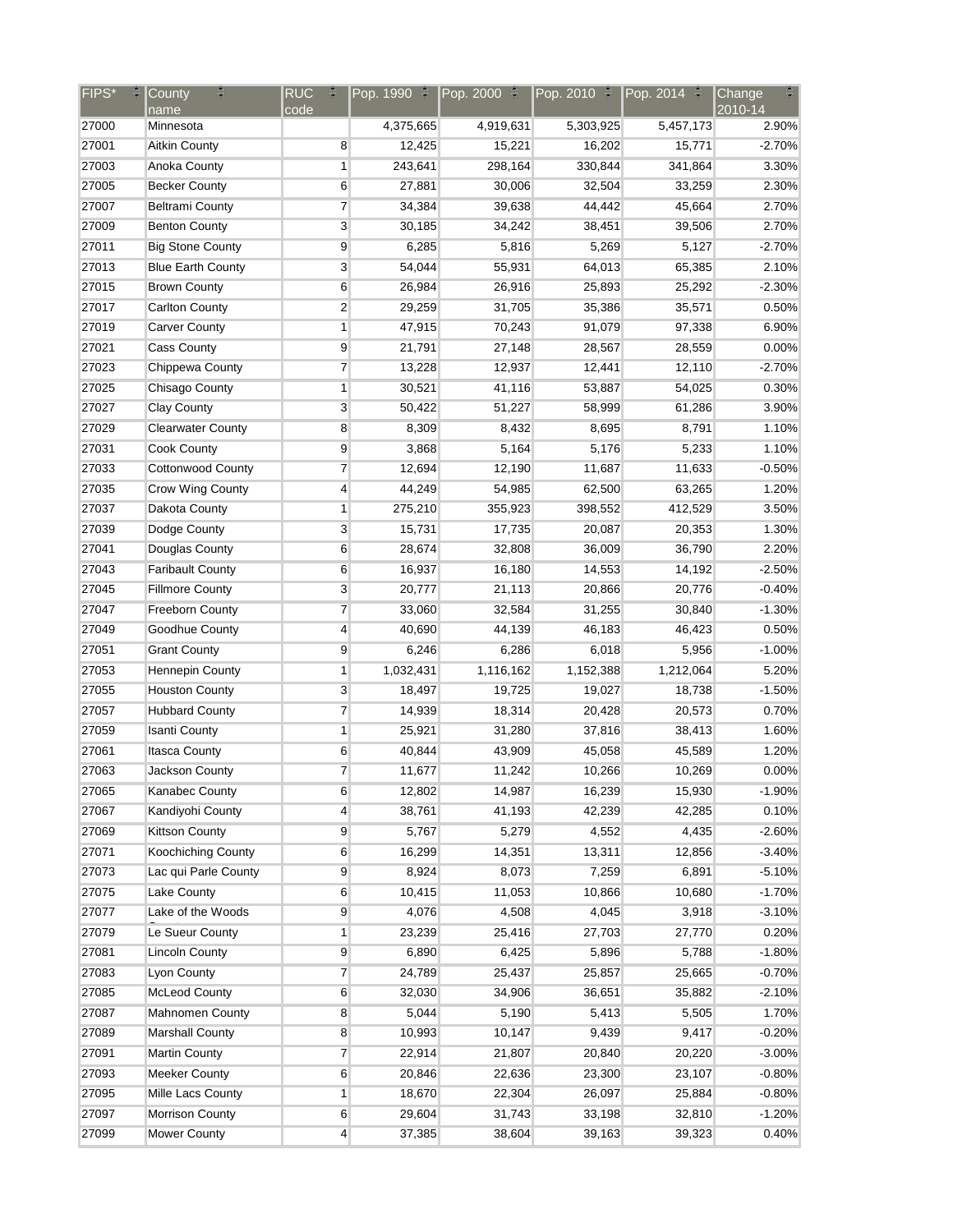| <b>FIPS*</b><br>÷. | ₩<br>County                          | <b>RUC</b><br>÷          |           | Pop. 1990 $\cong$  Pop. 2000 $\cong$  Pop. 2010 $\cong$  Pop. 2014 $\cong$ |           |                  | ₩<br>Change |
|--------------------|--------------------------------------|--------------------------|-----------|----------------------------------------------------------------------------|-----------|------------------|-------------|
|                    | name                                 | $\overline{\text{code}}$ |           |                                                                            |           |                  | 2010-14     |
| 27000              | Minnesota                            |                          | 4,375,665 | 4,919,631                                                                  | 5,303,925 | 5,457,173        | 2.90%       |
| 27001              | <b>Aitkin County</b>                 | 8                        | 12,425    | 15,221                                                                     | 16,202    | 15,771           | $-2.70%$    |
| 27003              | Anoka County                         | 1                        | 243,641   | 298,164                                                                    | 330,844   | 341,864          | 3.30%       |
| 27005              | <b>Becker County</b>                 | 6                        | 27,881    | 30,006                                                                     | 32,504    | 33,259           | 2.30%       |
| 27007              | <b>Beltrami County</b>               | 7                        | 34,384    | 39,638                                                                     | 44,442    | 45,664           | 2.70%       |
| 27009              | <b>Benton County</b>                 | 3                        | 30,185    | 34,242                                                                     | 38,451    | 39,506           | 2.70%       |
| 27011              | <b>Big Stone County</b>              | 9                        | 6,285     | 5,816                                                                      | 5,269     | 5,127            | $-2.70%$    |
| 27013              | <b>Blue Earth County</b>             | 3                        | 54,044    | 55,931                                                                     | 64,013    | 65,385           | 2.10%       |
| 27015              | <b>Brown County</b>                  | 6                        | 26,984    | 26,916                                                                     | 25,893    | 25,292           | $-2.30%$    |
| 27017              | <b>Carlton County</b>                | $\overline{c}$           | 29,259    | 31,705                                                                     | 35,386    | 35,571           | 0.50%       |
| 27019              | <b>Carver County</b>                 | 1                        | 47,915    | 70,243                                                                     | 91,079    | 97,338           | 6.90%       |
| 27021              | <b>Cass County</b>                   | 9                        | 21,791    | 27,148                                                                     | 28,567    | 28,559           | 0.00%       |
| 27023              | Chippewa County                      | 7                        | 13,228    | 12,937                                                                     | 12,441    | 12,110           | $-2.70%$    |
| 27025              | Chisago County                       | 1                        | 30,521    | 41,116                                                                     | 53,887    | 54,025           | 0.30%       |
| 27027              | <b>Clay County</b>                   | 3                        | 50,422    | 51,227                                                                     | 58,999    | 61,286           | 3.90%       |
| 27029              | <b>Clearwater County</b>             | 8                        | 8,309     | 8,432                                                                      | 8,695     | 8,791            | 1.10%       |
| 27031              | <b>Cook County</b>                   | 9                        | 3,868     | 5,164                                                                      | 5,176     | 5,233            | 1.10%       |
| 27033              | <b>Cottonwood County</b>             | 7                        | 12,694    | 12,190                                                                     | 11,687    | 11,633           | $-0.50%$    |
| 27035              | Crow Wing County                     | 4                        | 44,249    | 54,985                                                                     | 62,500    | 63,265           | 1.20%       |
| 27037              | Dakota County                        | 1                        | 275,210   | 355,923                                                                    | 398,552   | 412,529          | 3.50%       |
| 27039              | Dodge County                         | 3                        | 15,731    | 17,735                                                                     | 20,087    | 20,353           | 1.30%       |
| 27041              | Douglas County                       | 6                        | 28,674    | 32,808                                                                     | 36,009    | 36,790           | 2.20%       |
| 27043              | <b>Faribault County</b>              | 6                        | 16,937    | 16,180                                                                     | 14,553    | 14,192           | $-2.50%$    |
| 27045              | <b>Fillmore County</b>               | 3                        | 20,777    | 21,113                                                                     | 20,866    | 20,776           | $-0.40%$    |
| 27047              | <b>Freeborn County</b>               | 7                        | 33,060    | 32,584                                                                     | 31,255    | 30,840           | $-1.30%$    |
| 27049              | Goodhue County                       | 4                        | 40,690    | 44,139                                                                     | 46,183    | 46,423           | 0.50%       |
| 27051              | <b>Grant County</b>                  | 9                        | 6,246     | 6,286                                                                      | 6,018     | 5,956            | $-1.00%$    |
| 27053              | Hennepin County                      | $\mathbf{1}$             | 1,032,431 | 1,116,162                                                                  | 1,152,388 | 1,212,064        | 5.20%       |
| 27055              | <b>Houston County</b>                | 3                        | 18,497    | 19,725                                                                     | 19,027    | 18,738           | $-1.50%$    |
| 27057              | <b>Hubbard County</b>                | 7                        | 14,939    | 18,314                                                                     | 20,428    | 20,573           | 0.70%       |
| 27059              | <b>Isanti County</b>                 | 1                        | 25,921    | 31,280                                                                     | 37,816    | 38,413           | 1.60%       |
| 27061              | <b>Itasca County</b>                 | 6                        | 40,844    | 43,909                                                                     | 45,058    | 45,589           | 1.20%       |
| 27063              | Jackson County                       | 7                        | 11,677    | 11,242                                                                     | 10,266    | 10,269           | 0.00%       |
| 27065              | Kanabec County                       | 6                        | 12,802    | 14,987                                                                     | 16,239    | 15,930           | $-1.90%$    |
| 27067              | Kandiyohi County                     | 4                        | 38,761    | 41,193                                                                     | 42,239    | 42,285           | 0.10%       |
| 27069              | <b>Kittson County</b>                | 9                        | 5,767     | 5,279                                                                      | 4,552     | 4,435            | $-2.60%$    |
| 27071              | Koochiching County                   | 6                        | 16,299    | 14,351                                                                     | 13,311    | 12,856           | $-3.40%$    |
| 27073              | Lac qui Parle County                 | 9                        | 8,924     | 8,073                                                                      | 7,259     | 6,891            | $-5.10%$    |
| 27075              | <b>Lake County</b>                   | 6                        | 10,415    | 11,053                                                                     | 10,866    | 10,680           | $-1.70%$    |
| 27077              | Lake of the Woods<br>Le Sueur County | 9                        | 4,076     | 4,508                                                                      | 4,045     | 3,918            | $-3.10%$    |
| 27079              | <b>Lincoln County</b>                | 1                        | 23,239    | 25,416                                                                     | 27,703    | 27,770           | 0.20%       |
| 27081              |                                      | 9                        | 6,890     | 6,425                                                                      | 5,896     | 5,788            | $-1.80%$    |
| 27083              | <b>Lyon County</b>                   | $\overline{7}$           | 24,789    | 25,437                                                                     | 25,857    | 25,665           | $-0.70%$    |
| 27085              | <b>McLeod County</b>                 | 6                        | 32,030    | 34,906                                                                     | 36,651    | 35,882           | $-2.10%$    |
| 27087              | Mahnomen County                      | 8                        | 5,044     | 5,190                                                                      | 5,413     | 5,505            | 1.70%       |
| 27089              | <b>Marshall County</b>               | 8                        | 10,993    | 10,147                                                                     | 9,439     | 9,417            | $-0.20%$    |
| 27091              | <b>Martin County</b>                 | 7                        | 22,914    | 21,807                                                                     | 20,840    | 20,220           | $-3.00%$    |
| 27093              | <b>Meeker County</b>                 | 6                        | 20,846    | 22,636                                                                     | 23,300    | 23,107           | $-0.80%$    |
| 27095              | Mille Lacs County                    | $\mathbf{1}$             | 18,670    | 22,304                                                                     | 26,097    | 25,884<br>32,810 | $-0.80%$    |
| 27097              | Morrison County                      | 6                        | 29,604    | 31,743                                                                     | 33,198    |                  | $-1.20%$    |
| 27099              | <b>Mower County</b>                  | $\overline{4}$           | 37,385    | 38,604                                                                     | 39,163    | 39,323           | 0.40%       |